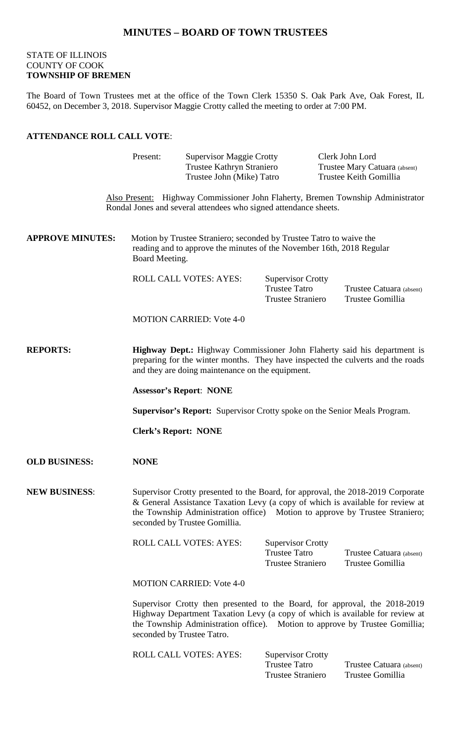# **MINUTES – BOARD OF TOWN TRUSTEES**

# STATE OF ILLINOIS COUNTY OF COOK **TOWNSHIP OF BREMEN**

The Board of Town Trustees met at the office of the Town Clerk 15350 S. Oak Park Ave, Oak Forest, IL 60452, on December 3, 2018. Supervisor Maggie Crotty called the meeting to order at 7:00 PM.

### **ATTENDANCE ROLL CALL VOTE**:

|                         | Present:                                                                                                                                                                                                                                                                          | <b>Supervisor Maggie Crotty</b><br>Trustee Kathryn Straniero<br>Trustee John (Mike) Tatro |                                                                              |  | Clerk John Lord<br>Trustee Mary Catuara (absent)<br>Trustee Keith Gomillia      |  |
|-------------------------|-----------------------------------------------------------------------------------------------------------------------------------------------------------------------------------------------------------------------------------------------------------------------------------|-------------------------------------------------------------------------------------------|------------------------------------------------------------------------------|--|---------------------------------------------------------------------------------|--|
|                         |                                                                                                                                                                                                                                                                                   | Rondal Jones and several attendees who signed attendance sheets.                          |                                                                              |  | Also Present: Highway Commissioner John Flaherty, Bremen Township Administrator |  |
| <b>APPROVE MINUTES:</b> | Motion by Trustee Straniero; seconded by Trustee Tatro to waive the<br>reading and to approve the minutes of the November 16th, 2018 Regular<br>Board Meeting.                                                                                                                    |                                                                                           |                                                                              |  |                                                                                 |  |
|                         |                                                                                                                                                                                                                                                                                   | ROLL CALL VOTES: AYES:                                                                    | <b>Supervisor Crotty</b><br><b>Trustee Tatro</b><br><b>Trustee Straniero</b> |  | Trustee Catuara (absent)<br>Trustee Gomillia                                    |  |
|                         |                                                                                                                                                                                                                                                                                   | <b>MOTION CARRIED: Vote 4-0</b>                                                           |                                                                              |  |                                                                                 |  |
| <b>REPORTS:</b>         | <b>Highway Dept.:</b> Highway Commissioner John Flaherty said his department is<br>preparing for the winter months. They have inspected the culverts and the roads<br>and they are doing maintenance on the equipment.                                                            |                                                                                           |                                                                              |  |                                                                                 |  |
|                         | <b>Assessor's Report: NONE</b>                                                                                                                                                                                                                                                    |                                                                                           |                                                                              |  |                                                                                 |  |
|                         | <b>Supervisor's Report:</b> Supervisor Crotty spoke on the Senior Meals Program.                                                                                                                                                                                                  |                                                                                           |                                                                              |  |                                                                                 |  |
|                         | <b>Clerk's Report: NONE</b>                                                                                                                                                                                                                                                       |                                                                                           |                                                                              |  |                                                                                 |  |
| <b>OLD BUSINESS:</b>    | <b>NONE</b>                                                                                                                                                                                                                                                                       |                                                                                           |                                                                              |  |                                                                                 |  |
| <b>NEW BUSINESS:</b>    | Supervisor Crotty presented to the Board, for approval, the 2018-2019 Corporate<br>& General Assistance Taxation Levy (a copy of which is available for review at<br>the Township Administration office) Motion to approve by Trustee Straniero;<br>seconded by Trustee Gomillia. |                                                                                           |                                                                              |  |                                                                                 |  |
|                         |                                                                                                                                                                                                                                                                                   | <b>ROLL CALL VOTES: AYES:</b>                                                             | <b>Supervisor Crotty</b><br><b>Trustee Tatro</b><br><b>Trustee Straniero</b> |  | Trustee Catuara (absent)<br>Trustee Gomillia                                    |  |
|                         |                                                                                                                                                                                                                                                                                   | <b>MOTION CARRIED: Vote 4-0</b>                                                           |                                                                              |  |                                                                                 |  |
|                         | Supervisor Crotty then presented to the Board, for approval, the 2018-2019<br>Highway Department Taxation Levy (a copy of which is available for review at<br>the Township Administration office). Motion to approve by Trustee Gomillia;<br>seconded by Trustee Tatro.           |                                                                                           |                                                                              |  |                                                                                 |  |
|                         |                                                                                                                                                                                                                                                                                   | <b>ROLL CALL VOTES: AYES:</b>                                                             | <b>Supervisor Crotty</b><br><b>Trustee Tatro</b><br>Trustee Straniero        |  | Trustee Catuara (absent)<br>Trustee Gomillia                                    |  |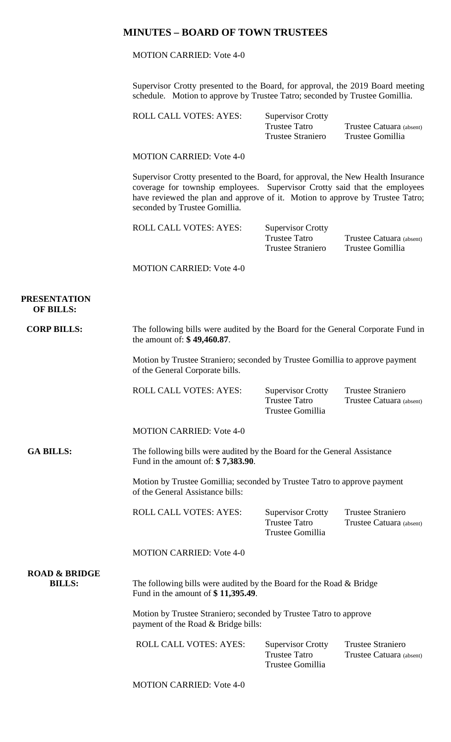# **MINUTES – BOARD OF TOWN TRUSTEES**

MOTION CARRIED: Vote 4-0

Supervisor Crotty presented to the Board, for approval, the 2019 Board meeting schedule. Motion to approve by Trustee Tatro; seconded by Trustee Gomillia.

| ROLL CALL VOTES: AYES: | <b>Supervisor Crotty</b> |                          |  |
|------------------------|--------------------------|--------------------------|--|
|                        | Trustee Tatro            | Trustee Catuara (absent) |  |
|                        | <b>Trustee Straniero</b> | Trustee Gomillia         |  |

MOTION CARRIED: Vote 4-0

Supervisor Crotty presented to the Board, for approval, the New Health Insurance coverage for township employees. Supervisor Crotty said that the employees have reviewed the plan and approve of it. Motion to approve by Trustee Tatro; seconded by Trustee Gomillia.

ROLL CALL VOTES: AYES: Supervisor Crotty Trustee Tatro Trustee Catuara (absent)<br>Trustee Straniero Trustee Gomillia Trustee Straniero

MOTION CARRIED: Vote 4-0

 **PRESENTATION OF BILLS:**

**CORP BILLS:** The following bills were audited by the Board for the General Corporate Fund in the amount of: **\$ 49,460.87**.

> Motion by Trustee Straniero; seconded by Trustee Gomillia to approve payment of the General Corporate bills.

ROLL CALL VOTES: AYES: Supervisor Crotty Trustee Straniero<br>Trustee Tatro Trustee Catuara a Trustee Gomillia

Trustee Catuara (absent)

MOTION CARRIED: Vote 4-0

GA BILLS: The following bills were audited by the Board for the General Assistance Fund in the amount of: **\$ 7,383.90**.

> Motion by Trustee Gomillia; seconded by Trustee Tatro to approve payment of the General Assistance bills:

> ROLL CALL VOTES: AYES: Supervisor Crotty Trustee Straniero

Trustee Tatro Trustee Catuara (absent) Trustee Gomillia

MOTION CARRIED: Vote 4-0

 **ROAD & BRIDGE**

**BILLS:** The following bills were audited by the Board for the Road & Bridge Fund in the amount of **\$ 11,395.49**.

> Motion by Trustee Straniero; seconded by Trustee Tatro to approve payment of the Road & Bridge bills:

| ROLL CALL VOTES: AYES: | <b>Supervisor Crotty</b> | <b>Trustee Straniero</b> |
|------------------------|--------------------------|--------------------------|
|                        | Trustee Tatro            | Trustee Catuara (absent) |
|                        | Trustee Gomillia         |                          |

MOTION CARRIED: Vote 4-0